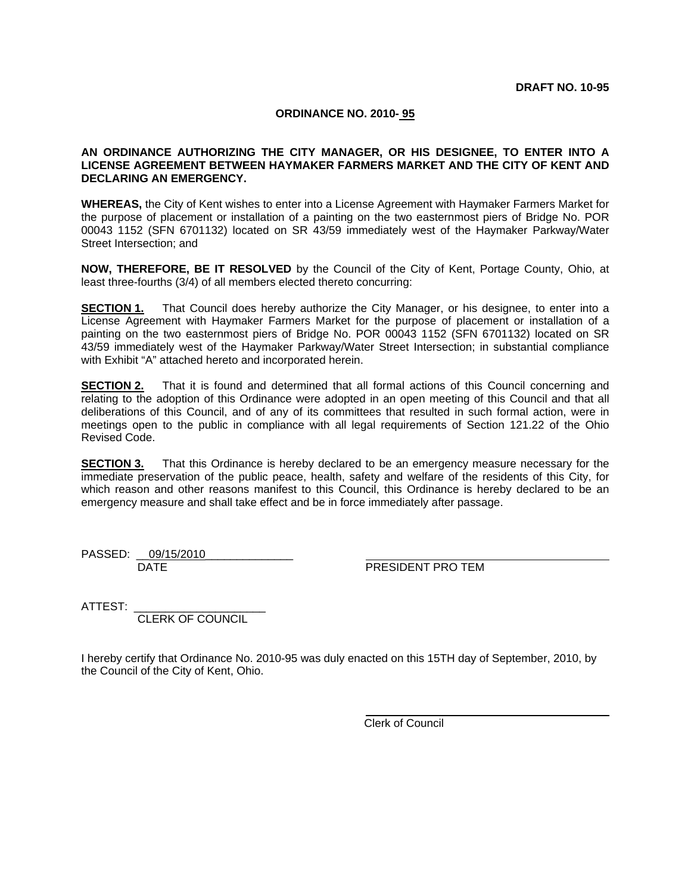#### **ORDINANCE NO. 2010- 95**

#### **AN ORDINANCE AUTHORIZING THE CITY MANAGER, OR HIS DESIGNEE, TO ENTER INTO A LICENSE AGREEMENT BETWEEN HAYMAKER FARMERS MARKET AND THE CITY OF KENT AND DECLARING AN EMERGENCY.**

**WHEREAS,** the City of Kent wishes to enter into a License Agreement with Haymaker Farmers Market for the purpose of placement or installation of a painting on the two easternmost piers of Bridge No. POR 00043 1152 (SFN 6701132) located on SR 43/59 immediately west of the Haymaker Parkway/Water Street Intersection; and

**NOW, THEREFORE, BE IT RESOLVED** by the Council of the City of Kent, Portage County, Ohio, at least three-fourths (3/4) of all members elected thereto concurring:

**SECTION 1.** That Council does hereby authorize the City Manager, or his designee, to enter into a License Agreement with Haymaker Farmers Market for the purpose of placement or installation of a painting on the two easternmost piers of Bridge No. POR 00043 1152 (SFN 6701132) located on SR 43/59 immediately west of the Haymaker Parkway/Water Street Intersection; in substantial compliance with Exhibit "A" attached hereto and incorporated herein.

**SECTION 2.** That it is found and determined that all formal actions of this Council concerning and relating to the adoption of this Ordinance were adopted in an open meeting of this Council and that all deliberations of this Council, and of any of its committees that resulted in such formal action, were in meetings open to the public in compliance with all legal requirements of Section 121.22 of the Ohio Revised Code.

**SECTION 3.** That this Ordinance is hereby declared to be an emergency measure necessary for the immediate preservation of the public peace, health, safety and welfare of the residents of this City, for which reason and other reasons manifest to this Council, this Ordinance is hereby declared to be an emergency measure and shall take effect and be in force immediately after passage.

PASSED: 09/15/2010 DATE PRESIDENT PRO TEM

ATTEST: \_\_\_\_\_\_\_\_\_\_\_\_\_\_\_\_\_\_\_\_\_

CLERK OF COUNCIL

I hereby certify that Ordinance No. 2010-95 was duly enacted on this 15TH day of September, 2010, by the Council of the City of Kent, Ohio.

Clerk of Council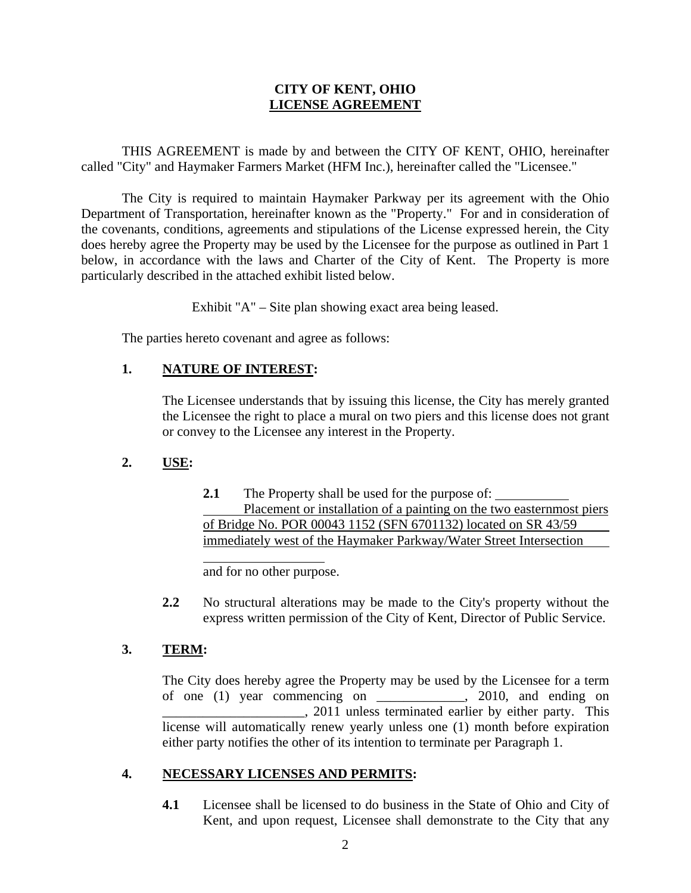### **CITY OF KENT, OHIO LICENSE AGREEMENT**

 THIS AGREEMENT is made by and between the CITY OF KENT, OHIO, hereinafter called "City" and Haymaker Farmers Market (HFM Inc.), hereinafter called the "Licensee."

 The City is required to maintain Haymaker Parkway per its agreement with the Ohio Department of Transportation, hereinafter known as the "Property." For and in consideration of the covenants, conditions, agreements and stipulations of the License expressed herein, the City does hereby agree the Property may be used by the Licensee for the purpose as outlined in Part 1 below, in accordance with the laws and Charter of the City of Kent. The Property is more particularly described in the attached exhibit listed below.

Exhibit "A" – Site plan showing exact area being leased.

The parties hereto covenant and agree as follows:

## **1. NATURE OF INTEREST:**

 $\overline{a}$ 

The Licensee understands that by issuing this license, the City has merely granted the Licensee the right to place a mural on two piers and this license does not grant or convey to the Licensee any interest in the Property.

## **2. USE:**

**2.1** The Property shall be used for the purpose of: Placement or installation of a painting on the two easternmost piers of Bridge No. POR 00043 1152 (SFN 6701132) located on SR 43/59 immediately west of the Haymaker Parkway/Water Street Intersection

and for no other purpose.

**2.2** No structural alterations may be made to the City's property without the express written permission of the City of Kent, Director of Public Service.

## **3. TERM:**

The City does hereby agree the Property may be used by the Licensee for a term of one (1) year commencing on \_\_\_\_\_\_\_\_\_\_\_\_\_, 2010, and ending on  $\Box$ , 2011 unless terminated earlier by either party. This license will automatically renew yearly unless one (1) month before expiration either party notifies the other of its intention to terminate per Paragraph 1.

## **4. NECESSARY LICENSES AND PERMITS:**

**4.1** Licensee shall be licensed to do business in the State of Ohio and City of Kent, and upon request, Licensee shall demonstrate to the City that any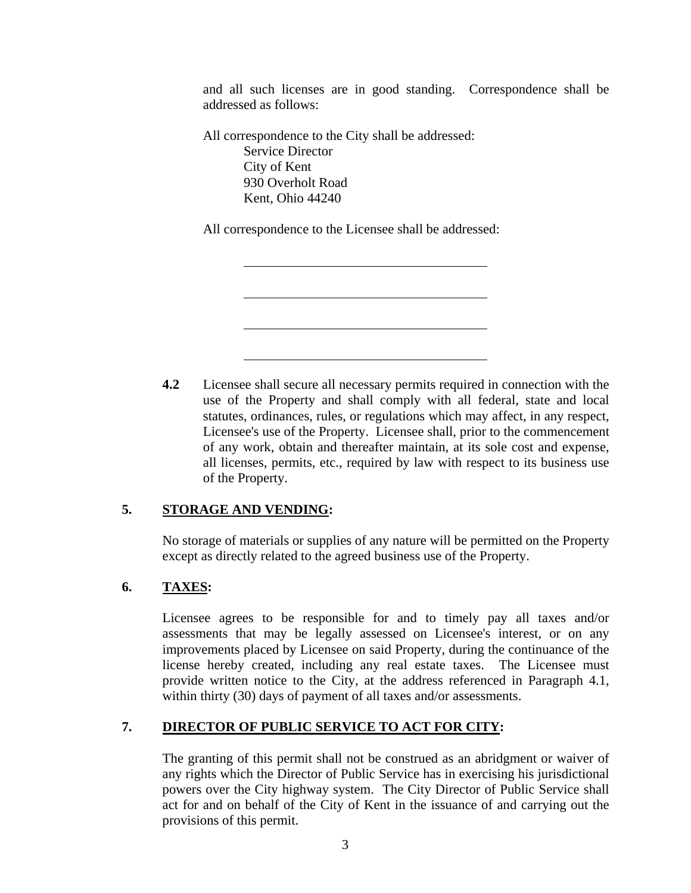and all such licenses are in good standing. Correspondence shall be addressed as follows:

All correspondence to the City shall be addressed: Service Director City of Kent 930 Overholt Road Kent, Ohio 44240

All correspondence to the Licensee shall be addressed:

**4.2** Licensee shall secure all necessary permits required in connection with the use of the Property and shall comply with all federal, state and local statutes, ordinances, rules, or regulations which may affect, in any respect, Licensee's use of the Property. Licensee shall, prior to the commencement of any work, obtain and thereafter maintain, at its sole cost and expense, all licenses, permits, etc., required by law with respect to its business use of the Property.

## **5. STORAGE AND VENDING:**

 $\overline{a}$ 

 $\overline{a}$ 

 $\overline{a}$ 

 $\overline{a}$ 

No storage of materials or supplies of any nature will be permitted on the Property except as directly related to the agreed business use of the Property.

## **6. TAXES:**

Licensee agrees to be responsible for and to timely pay all taxes and/or assessments that may be legally assessed on Licensee's interest, or on any improvements placed by Licensee on said Property, during the continuance of the license hereby created, including any real estate taxes. The Licensee must provide written notice to the City, at the address referenced in Paragraph 4.1, within thirty (30) days of payment of all taxes and/or assessments.

## **7. DIRECTOR OF PUBLIC SERVICE TO ACT FOR CITY:**

The granting of this permit shall not be construed as an abridgment or waiver of any rights which the Director of Public Service has in exercising his jurisdictional powers over the City highway system. The City Director of Public Service shall act for and on behalf of the City of Kent in the issuance of and carrying out the provisions of this permit.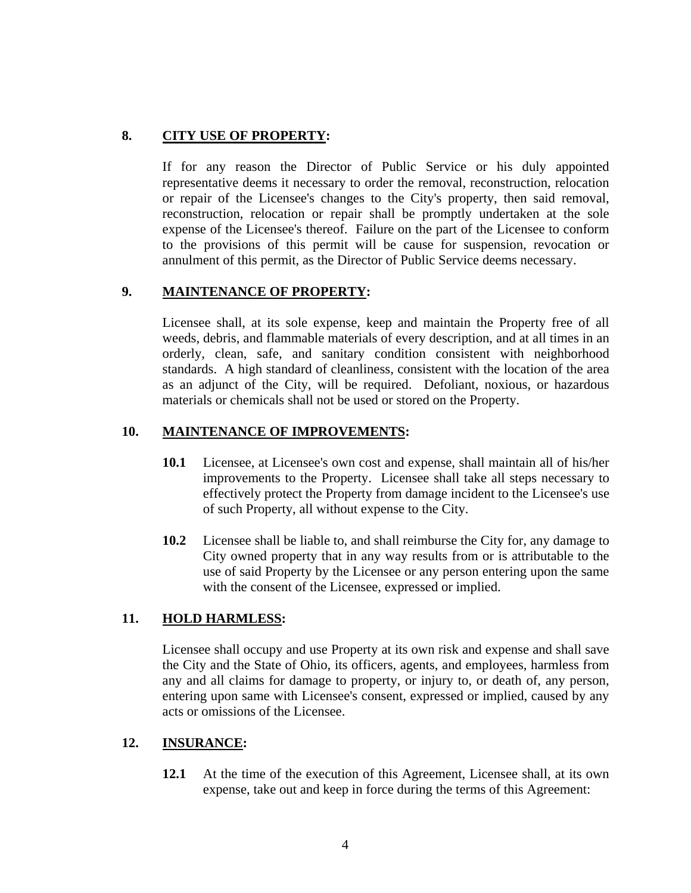# **8. CITY USE OF PROPERTY:**

If for any reason the Director of Public Service or his duly appointed representative deems it necessary to order the removal, reconstruction, relocation or repair of the Licensee's changes to the City's property, then said removal, reconstruction, relocation or repair shall be promptly undertaken at the sole expense of the Licensee's thereof. Failure on the part of the Licensee to conform to the provisions of this permit will be cause for suspension, revocation or annulment of this permit, as the Director of Public Service deems necessary.

# **9. MAINTENANCE OF PROPERTY:**

Licensee shall, at its sole expense, keep and maintain the Property free of all weeds, debris, and flammable materials of every description, and at all times in an orderly, clean, safe, and sanitary condition consistent with neighborhood standards. A high standard of cleanliness, consistent with the location of the area as an adjunct of the City, will be required. Defoliant, noxious, or hazardous materials or chemicals shall not be used or stored on the Property.

## **10. MAINTENANCE OF IMPROVEMENTS:**

- **10.1** Licensee, at Licensee's own cost and expense, shall maintain all of his/her improvements to the Property. Licensee shall take all steps necessary to effectively protect the Property from damage incident to the Licensee's use of such Property, all without expense to the City.
- **10.2** Licensee shall be liable to, and shall reimburse the City for, any damage to City owned property that in any way results from or is attributable to the use of said Property by the Licensee or any person entering upon the same with the consent of the Licensee, expressed or implied.

## **11. HOLD HARMLESS:**

Licensee shall occupy and use Property at its own risk and expense and shall save the City and the State of Ohio, its officers, agents, and employees, harmless from any and all claims for damage to property, or injury to, or death of, any person, entering upon same with Licensee's consent, expressed or implied, caused by any acts or omissions of the Licensee.

## **12. INSURANCE:**

**12.1** At the time of the execution of this Agreement, Licensee shall, at its own expense, take out and keep in force during the terms of this Agreement: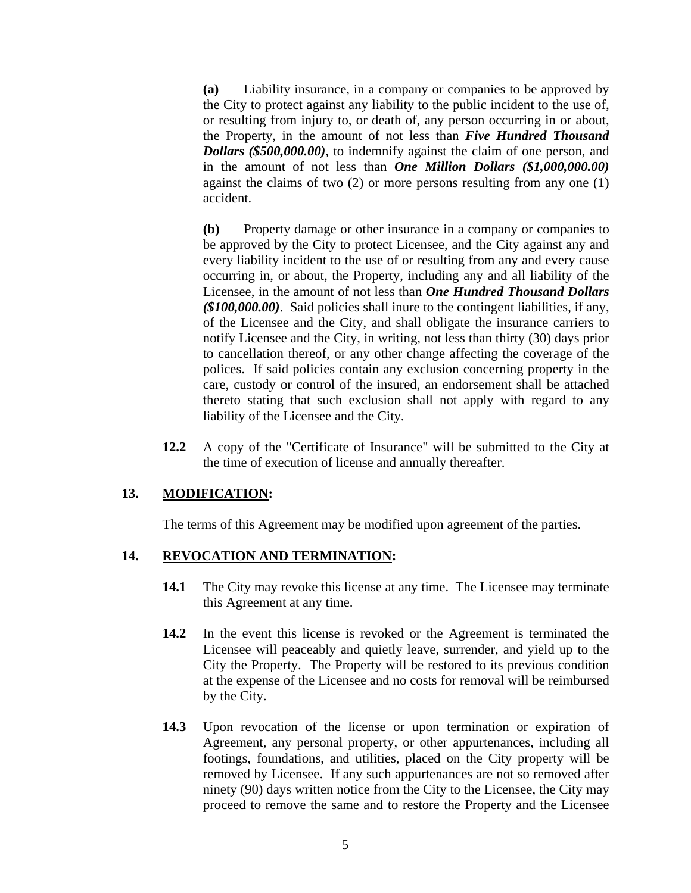**(a)** Liability insurance, in a company or companies to be approved by the City to protect against any liability to the public incident to the use of, or resulting from injury to, or death of, any person occurring in or about, the Property, in the amount of not less than *Five Hundred Thousand Dollars (\$500,000.00)*, to indemnify against the claim of one person, and in the amount of not less than *One Million Dollars (\$1,000,000.00)* against the claims of two (2) or more persons resulting from any one (1) accident.

**(b)** Property damage or other insurance in a company or companies to be approved by the City to protect Licensee, and the City against any and every liability incident to the use of or resulting from any and every cause occurring in, or about, the Property, including any and all liability of the Licensee, in the amount of not less than *One Hundred Thousand Dollars (\$100,000.00)*. Said policies shall inure to the contingent liabilities, if any, of the Licensee and the City, and shall obligate the insurance carriers to notify Licensee and the City, in writing, not less than thirty (30) days prior to cancellation thereof, or any other change affecting the coverage of the polices. If said policies contain any exclusion concerning property in the care, custody or control of the insured, an endorsement shall be attached thereto stating that such exclusion shall not apply with regard to any liability of the Licensee and the City.

**12.2** A copy of the "Certificate of Insurance" will be submitted to the City at the time of execution of license and annually thereafter.

### **13. MODIFICATION:**

The terms of this Agreement may be modified upon agreement of the parties.

### **14. REVOCATION AND TERMINATION:**

- **14.1** The City may revoke this license at any time. The Licensee may terminate this Agreement at any time.
- **14.2** In the event this license is revoked or the Agreement is terminated the Licensee will peaceably and quietly leave, surrender, and yield up to the City the Property. The Property will be restored to its previous condition at the expense of the Licensee and no costs for removal will be reimbursed by the City.
- **14.3** Upon revocation of the license or upon termination or expiration of Agreement, any personal property, or other appurtenances, including all footings, foundations, and utilities, placed on the City property will be removed by Licensee. If any such appurtenances are not so removed after ninety (90) days written notice from the City to the Licensee, the City may proceed to remove the same and to restore the Property and the Licensee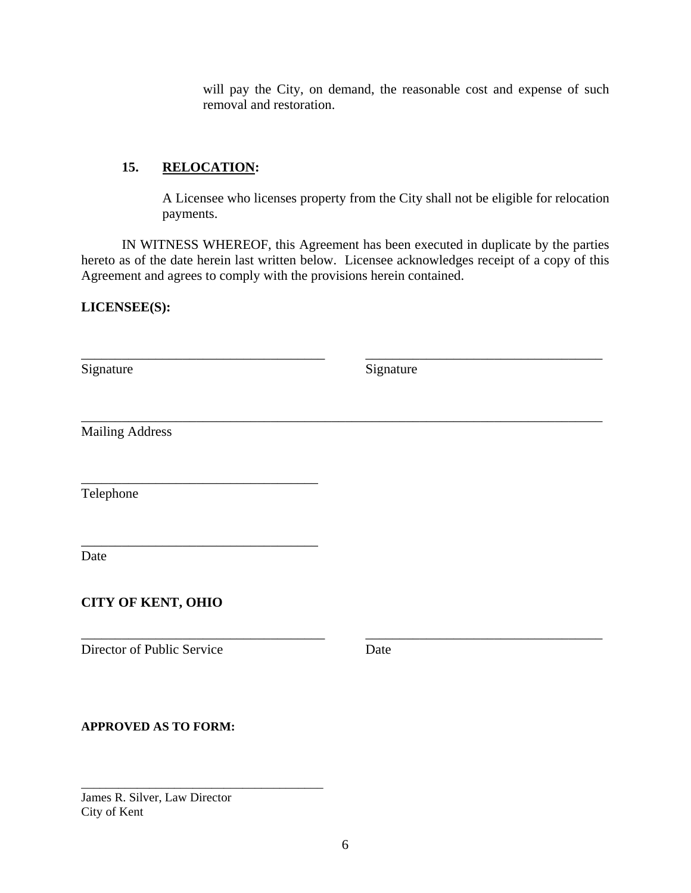will pay the City, on demand, the reasonable cost and expense of such removal and restoration.

## **15. RELOCATION:**

\_\_\_\_\_\_\_\_\_\_\_\_\_\_\_\_\_\_\_\_\_\_\_\_\_\_\_\_\_\_\_\_\_\_\_

\_\_\_\_\_\_\_\_\_\_\_\_\_\_\_\_\_\_\_\_\_\_\_\_\_\_\_\_\_\_\_\_\_\_\_

A Licensee who licenses property from the City shall not be eligible for relocation payments.

 IN WITNESS WHEREOF, this Agreement has been executed in duplicate by the parties hereto as of the date herein last written below. Licensee acknowledges receipt of a copy of this Agreement and agrees to comply with the provisions herein contained.

\_\_\_\_\_\_\_\_\_\_\_\_\_\_\_\_\_\_\_\_\_\_\_\_\_\_\_\_\_\_\_\_\_\_\_\_ \_\_\_\_\_\_\_\_\_\_\_\_\_\_\_\_\_\_\_\_\_\_\_\_\_\_\_\_\_\_\_\_\_\_\_

\_\_\_\_\_\_\_\_\_\_\_\_\_\_\_\_\_\_\_\_\_\_\_\_\_\_\_\_\_\_\_\_\_\_\_\_\_\_\_\_\_\_\_\_\_\_\_\_\_\_\_\_\_\_\_\_\_\_\_\_\_\_\_\_\_\_\_\_\_\_\_\_\_\_\_\_\_

**LICENSEE(S):**

Signature Signature Signature

Mailing Address

Telephone

Date

# **CITY OF KENT, OHIO**

Director of Public Service Date

\_\_\_\_\_\_\_\_\_\_\_\_\_\_\_\_\_\_\_\_\_\_\_\_\_\_\_\_\_\_\_\_\_\_\_\_ \_\_\_\_\_\_\_\_\_\_\_\_\_\_\_\_\_\_\_\_\_\_\_\_\_\_\_\_\_\_\_\_\_\_\_

## **APPROVED AS TO FORM:**

James R. Silver, Law Director City of Kent

\_\_\_\_\_\_\_\_\_\_\_\_\_\_\_\_\_\_\_\_\_\_\_\_\_\_\_\_\_\_\_\_\_\_\_\_\_\_\_